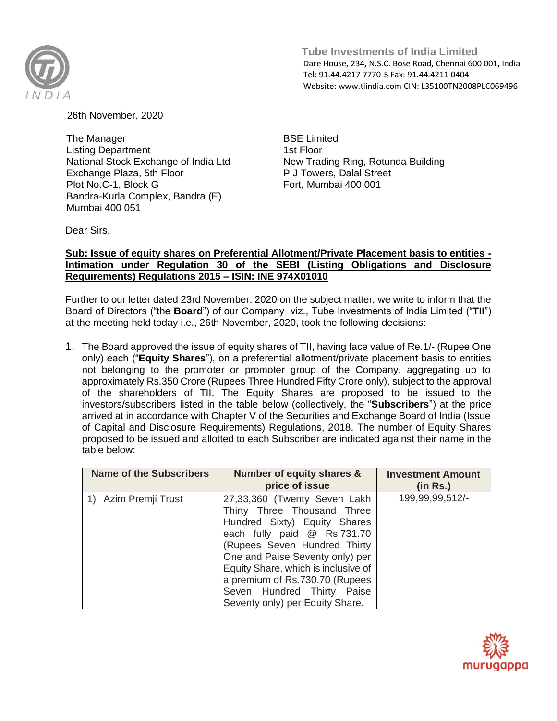

 **Tube Investments of India Limited**  Dare House, 234, N.S.C. Bose Road, Chennai 600 001, India Tel: 91.44.4217 7770-5 Fax: 91.44.4211 0404 Website: www.tiindia.com CIN: L35100TN2008PLC069496

26th November, 2020

The Manager Listing Department National Stock Exchange of India Ltd Exchange Plaza, 5th Floor Plot No.C-1, Block G Bandra-Kurla Complex, Bandra (E) Mumbai 400 051

BSE Limited 1st Floor New Trading Ring, Rotunda Building P J Towers, Dalal Street Fort, Mumbai 400 001

Dear Sirs,

## **Sub: Issue of equity shares on Preferential Allotment/Private Placement basis to entities - Intimation under Regulation 30 of the SEBI (Listing Obligations and Disclosure Requirements) Regulations 2015 – ISIN: INE 974X01010**

Further to our letter dated 23rd November, 2020 on the subject matter, we write to inform that the Board of Directors ("the **Board**") of our Company viz., Tube Investments of India Limited ("**TII**") at the meeting held today i.e., 26th November, 2020, took the following decisions:

1. The Board approved the issue of equity shares of TII, having face value of Re.1/- (Rupee One only) each ("**Equity Shares**"), on a preferential allotment/private placement basis to entities not belonging to the promoter or promoter group of the Company, aggregating up to approximately Rs.350 Crore (Rupees Three Hundred Fifty Crore only), subject to the approval of the shareholders of TII. The Equity Shares are proposed to be issued to the investors/subscribers listed in the table below (collectively, the "**Subscribers**") at the price arrived at in accordance with Chapter V of the Securities and Exchange Board of India (Issue of Capital and Disclosure Requirements) Regulations, 2018. The number of Equity Shares proposed to be issued and allotted to each Subscriber are indicated against their name in the table below:

| <b>Name of the Subscribers</b> | Number of equity shares &<br>price of issue                                                                                                                                                                                                                                                                                             | <b>Investment Amount</b><br>(in Rs.) |
|--------------------------------|-----------------------------------------------------------------------------------------------------------------------------------------------------------------------------------------------------------------------------------------------------------------------------------------------------------------------------------------|--------------------------------------|
| 1) Azim Premji Trust           | 27,33,360 (Twenty Seven Lakh<br>Thirty Three Thousand Three<br>Hundred Sixty) Equity Shares<br>each fully paid @ Rs.731.70<br>(Rupees Seven Hundred Thirty<br>One and Paise Seventy only) per<br>Equity Share, which is inclusive of<br>a premium of Rs.730.70 (Rupees<br>Seven Hundred Thirty Paise<br>Seventy only) per Equity Share. | 199,99,99,512/-                      |

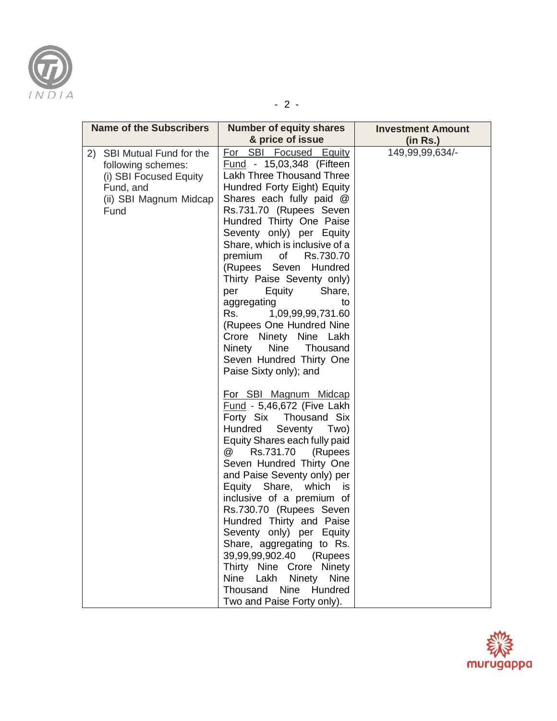

- 2 -

| <b>Name of the Subscribers</b>                                                                                            | <b>Number of equity shares</b>                                                                                                                                                                                                                                                                                                                                                                                                                                                                                                                                                  | <b>Investment Amount</b> |
|---------------------------------------------------------------------------------------------------------------------------|---------------------------------------------------------------------------------------------------------------------------------------------------------------------------------------------------------------------------------------------------------------------------------------------------------------------------------------------------------------------------------------------------------------------------------------------------------------------------------------------------------------------------------------------------------------------------------|--------------------------|
|                                                                                                                           | & price of issue                                                                                                                                                                                                                                                                                                                                                                                                                                                                                                                                                                | (in Rs.)                 |
| 2) SBI Mutual Fund for the<br>following schemes:<br>(i) SBI Focused Equity<br>Fund, and<br>(ii) SBI Magnum Midcap<br>Fund | For SBI Focused Equity<br>Fund - 15,03,348 (Fifteen<br><b>Lakh Three Thousand Three</b><br>Hundred Forty Eight) Equity<br>Shares each fully paid @<br>Rs.731.70 (Rupees Seven<br>Hundred Thirty One Paise<br>Seventy only) per Equity<br>Share, which is inclusive of a<br>premium of<br>Rs.730.70<br>(Rupees Seven Hundred<br>Thirty Paise Seventy only)<br>per<br>Equity<br>Share,<br>aggregating<br>to<br>Rs.<br>1,09,99,99,731.60<br>(Rupees One Hundred Nine<br>Crore Ninety Nine Lakh<br>Nine<br>Ninety<br>Thousand<br>Seven Hundred Thirty One<br>Paise Sixty only); and | 149,99,99,634/-          |
|                                                                                                                           | For SBI Magnum Midcap<br>Fund - 5,46,672 (Five Lakh<br>Forty Six Thousand Six<br>Hundred<br>Seventy<br>Two)<br>Equity Shares each fully paid<br>Rs.731.70<br>@<br>(Rupees<br>Seven Hundred Thirty One<br>and Paise Seventy only) per<br>Equity Share, which<br>is i<br>inclusive of a premium of<br>Rs.730.70 (Rupees Seven<br>Hundred Thirty and Paise<br>Seventy only) per Equity<br>Share, aggregating to Rs.<br>39,99,99,902.40 (Rupees<br>Thirty Nine Crore Ninety<br>Nine<br>Lakh<br>Ninety Nine<br>Thousand Nine Hundred<br>Two and Paise Forty only).                   |                          |